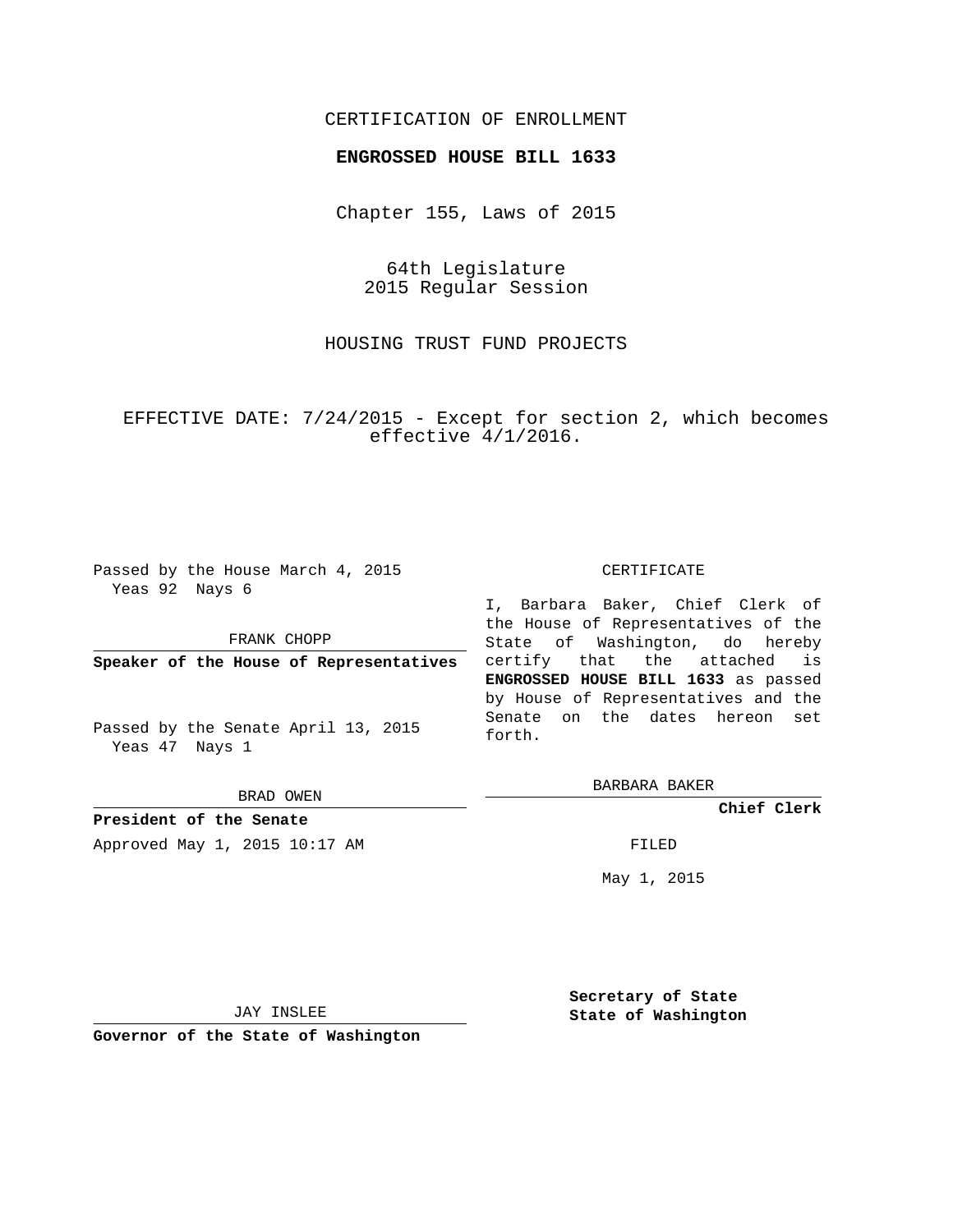# CERTIFICATION OF ENROLLMENT

### **ENGROSSED HOUSE BILL 1633**

Chapter 155, Laws of 2015

64th Legislature 2015 Regular Session

HOUSING TRUST FUND PROJECTS

EFFECTIVE DATE: 7/24/2015 - Except for section 2, which becomes effective 4/1/2016.

Passed by the House March 4, 2015 Yeas 92 Nays 6

FRANK CHOPP

**Speaker of the House of Representatives**

Passed by the Senate April 13, 2015 Yeas 47 Nays 1

BRAD OWEN

**President of the Senate** Approved May 1, 2015 10:17 AM FILED

#### CERTIFICATE

I, Barbara Baker, Chief Clerk of the House of Representatives of the State of Washington, do hereby certify that the attached is **ENGROSSED HOUSE BILL 1633** as passed by House of Representatives and the Senate on the dates hereon set forth.

BARBARA BAKER

**Chief Clerk**

May 1, 2015

JAY INSLEE

**Governor of the State of Washington**

**Secretary of State State of Washington**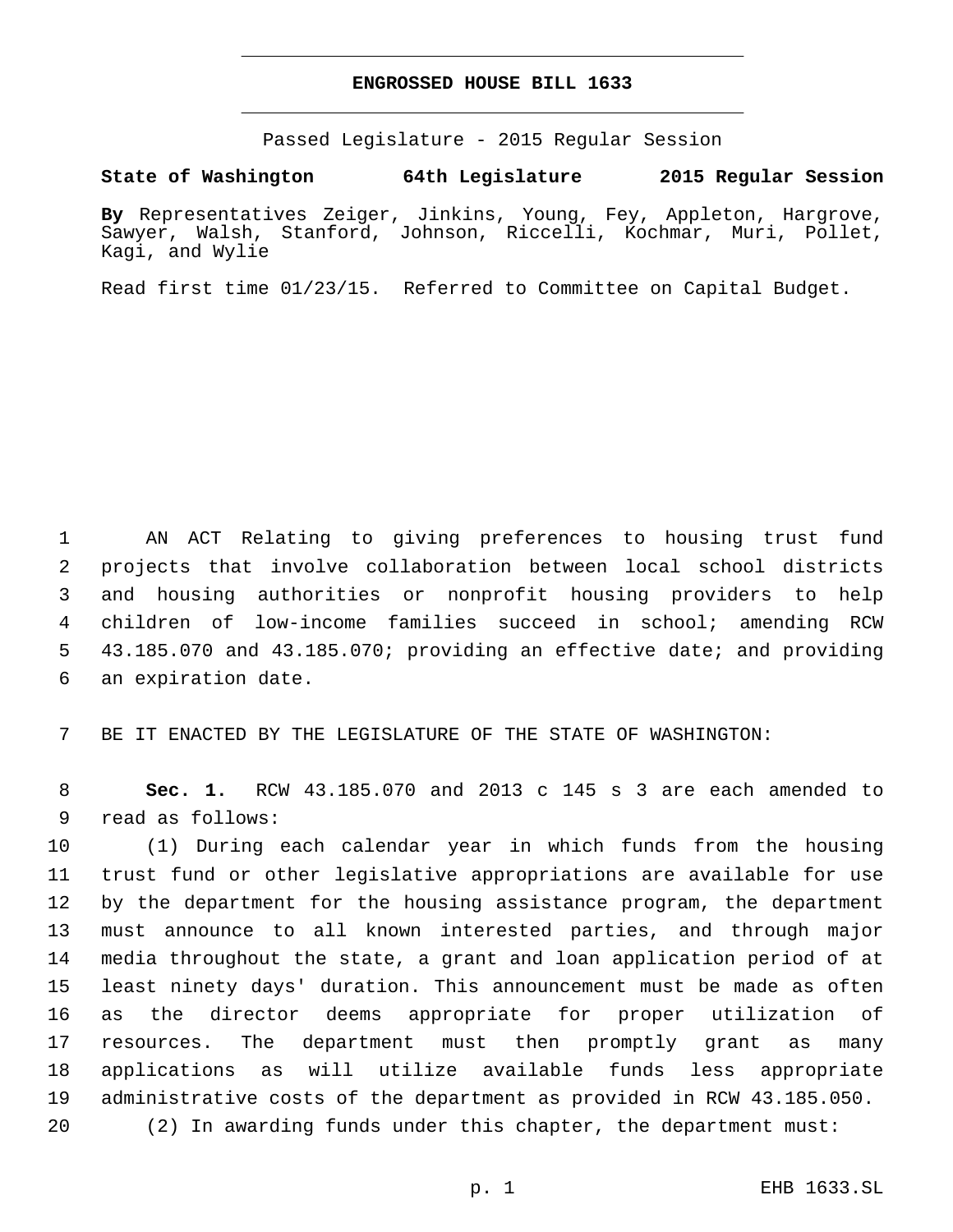## **ENGROSSED HOUSE BILL 1633**

Passed Legislature - 2015 Regular Session

## **State of Washington 64th Legislature 2015 Regular Session**

**By** Representatives Zeiger, Jinkins, Young, Fey, Appleton, Hargrove, Sawyer, Walsh, Stanford, Johnson, Riccelli, Kochmar, Muri, Pollet, Kagi, and Wylie

Read first time 01/23/15. Referred to Committee on Capital Budget.

 AN ACT Relating to giving preferences to housing trust fund projects that involve collaboration between local school districts and housing authorities or nonprofit housing providers to help children of low-income families succeed in school; amending RCW 43.185.070 and 43.185.070; providing an effective date; and providing 6 an expiration date.

BE IT ENACTED BY THE LEGISLATURE OF THE STATE OF WASHINGTON:

 **Sec. 1.** RCW 43.185.070 and 2013 c 145 s 3 are each amended to 9 read as follows:

 (1) During each calendar year in which funds from the housing trust fund or other legislative appropriations are available for use by the department for the housing assistance program, the department must announce to all known interested parties, and through major media throughout the state, a grant and loan application period of at least ninety days' duration. This announcement must be made as often as the director deems appropriate for proper utilization of resources. The department must then promptly grant as many applications as will utilize available funds less appropriate administrative costs of the department as provided in RCW 43.185.050. (2) In awarding funds under this chapter, the department must: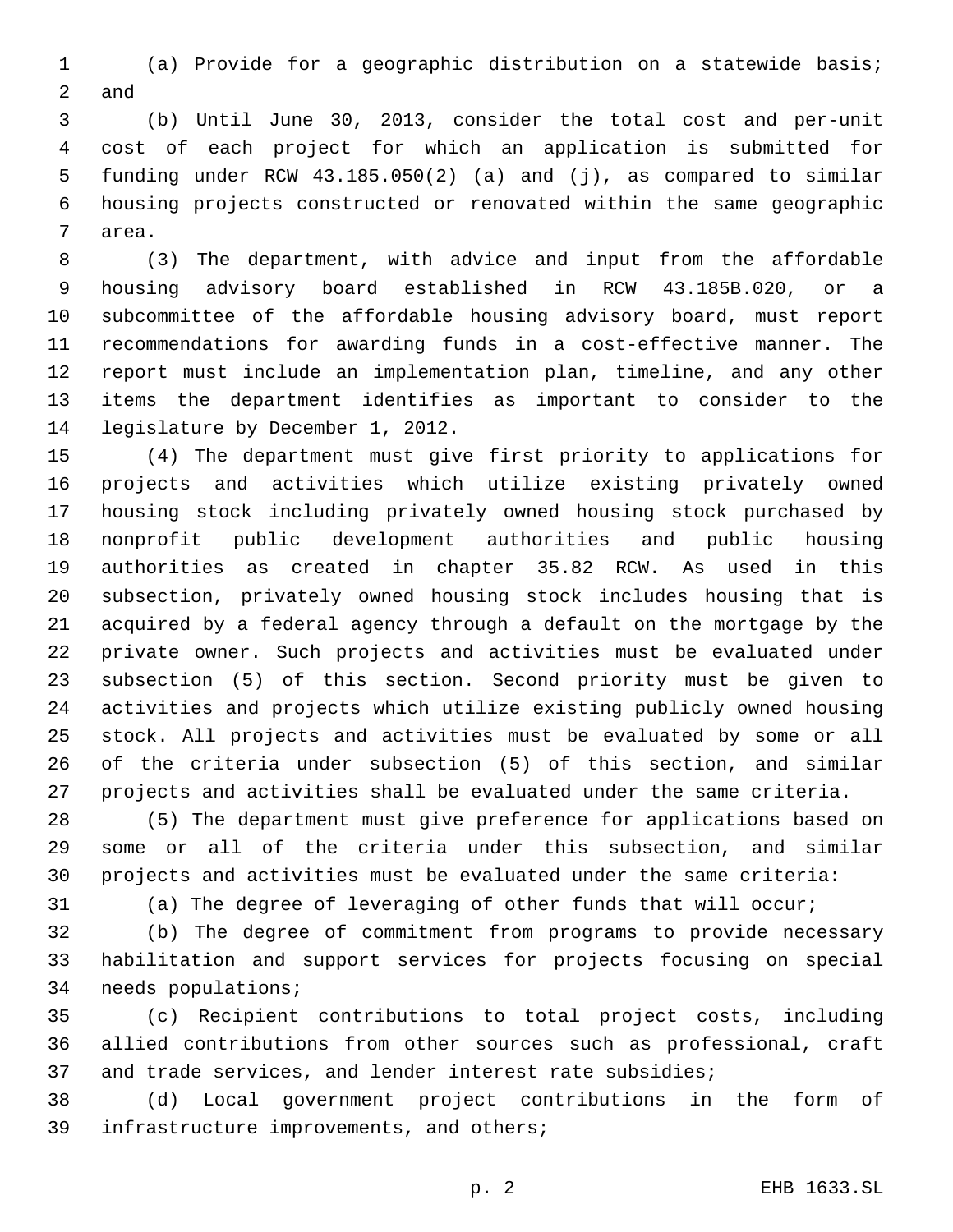(a) Provide for a geographic distribution on a statewide basis; 2 and

 (b) Until June 30, 2013, consider the total cost and per-unit cost of each project for which an application is submitted for funding under RCW 43.185.050(2) (a) and (j), as compared to similar housing projects constructed or renovated within the same geographic 7 area.

 (3) The department, with advice and input from the affordable housing advisory board established in RCW 43.185B.020, or a subcommittee of the affordable housing advisory board, must report recommendations for awarding funds in a cost-effective manner. The report must include an implementation plan, timeline, and any other items the department identifies as important to consider to the 14 legislature by December 1, 2012.

 (4) The department must give first priority to applications for projects and activities which utilize existing privately owned housing stock including privately owned housing stock purchased by nonprofit public development authorities and public housing authorities as created in chapter 35.82 RCW. As used in this subsection, privately owned housing stock includes housing that is acquired by a federal agency through a default on the mortgage by the private owner. Such projects and activities must be evaluated under subsection (5) of this section. Second priority must be given to activities and projects which utilize existing publicly owned housing stock. All projects and activities must be evaluated by some or all of the criteria under subsection (5) of this section, and similar projects and activities shall be evaluated under the same criteria.

 (5) The department must give preference for applications based on some or all of the criteria under this subsection, and similar projects and activities must be evaluated under the same criteria:

(a) The degree of leveraging of other funds that will occur;

 (b) The degree of commitment from programs to provide necessary habilitation and support services for projects focusing on special 34 needs populations;

 (c) Recipient contributions to total project costs, including allied contributions from other sources such as professional, craft and trade services, and lender interest rate subsidies;

 (d) Local government project contributions in the form of 39 infrastructure improvements, and others;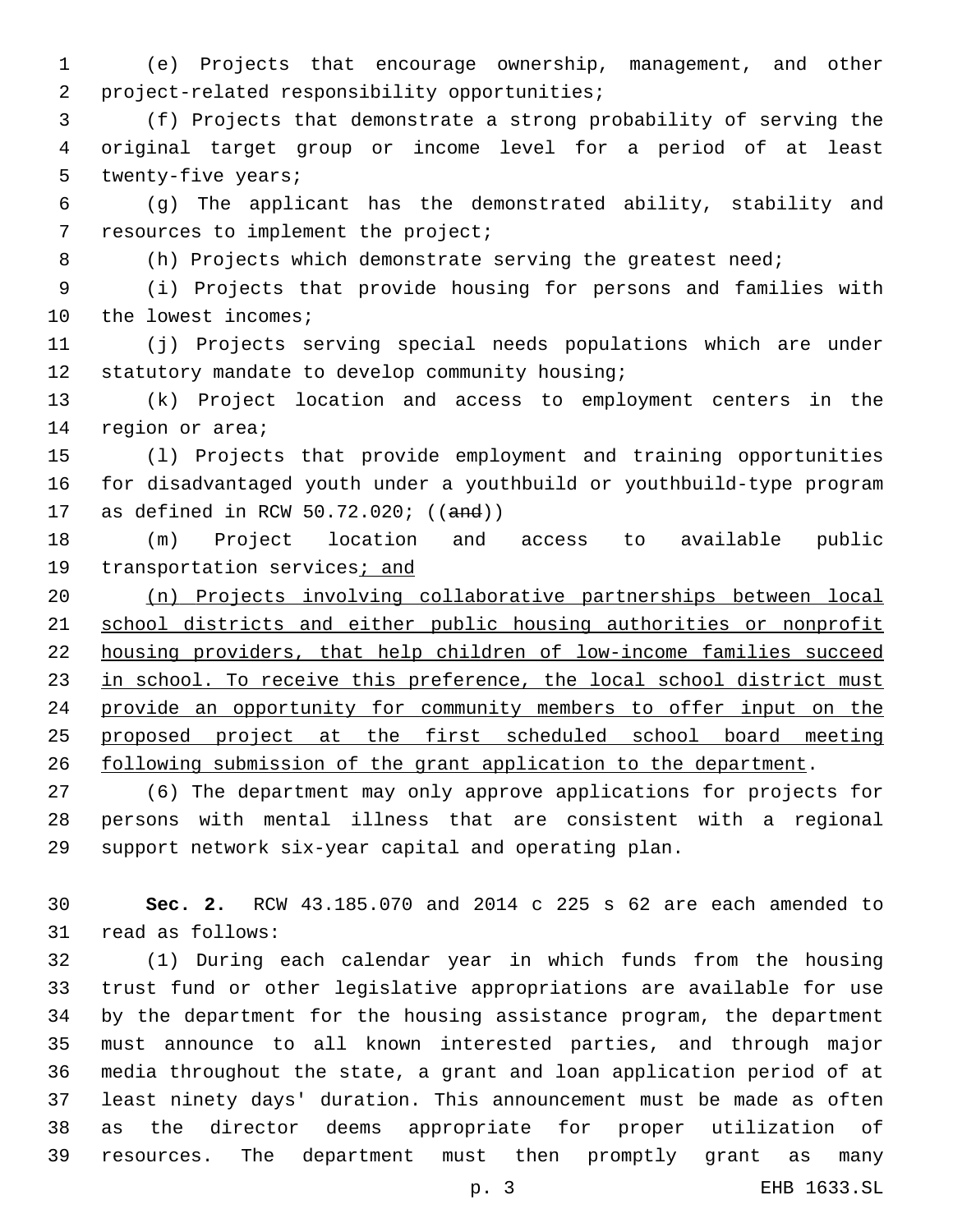(e) Projects that encourage ownership, management, and other 2 project-related responsibility opportunities;

 (f) Projects that demonstrate a strong probability of serving the original target group or income level for a period of at least 5 twenty-five years;

 (g) The applicant has the demonstrated ability, stability and 7 resources to implement the project;

(h) Projects which demonstrate serving the greatest need;

 (i) Projects that provide housing for persons and families with 10 the lowest incomes;

 (j) Projects serving special needs populations which are under 12 statutory mandate to develop community housing;

 (k) Project location and access to employment centers in the 14 region or area;

 (l) Projects that provide employment and training opportunities for disadvantaged youth under a youthbuild or youthbuild-type program as defined in RCW 50.72.020; ((and))

 (m) Project location and access to available public 19 transportation services; and

 (n) Projects involving collaborative partnerships between local school districts and either public housing authorities or nonprofit housing providers, that help children of low-income families succeed 23 in school. To receive this preference, the local school district must provide an opportunity for community members to offer input on the proposed project at the first scheduled school board meeting following submission of the grant application to the department.

 (6) The department may only approve applications for projects for persons with mental illness that are consistent with a regional support network six-year capital and operating plan.

 **Sec. 2.** RCW 43.185.070 and 2014 c 225 s 62 are each amended to 31 read as follows:

 (1) During each calendar year in which funds from the housing trust fund or other legislative appropriations are available for use by the department for the housing assistance program, the department must announce to all known interested parties, and through major media throughout the state, a grant and loan application period of at least ninety days' duration. This announcement must be made as often as the director deems appropriate for proper utilization of resources. The department must then promptly grant as many

p. 3 EHB 1633.SL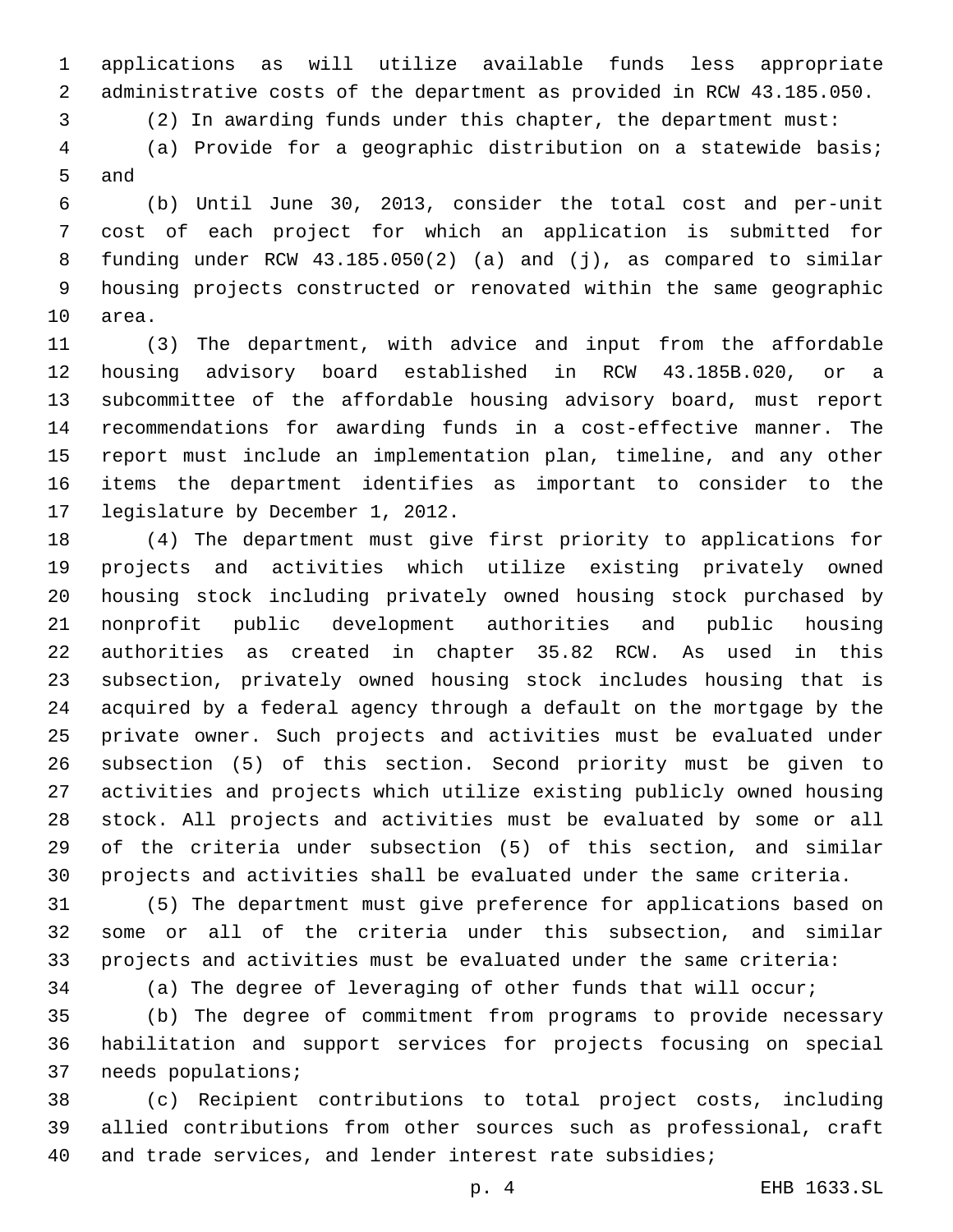applications as will utilize available funds less appropriate administrative costs of the department as provided in RCW 43.185.050.

(2) In awarding funds under this chapter, the department must:

 (a) Provide for a geographic distribution on a statewide basis; 5 and

 (b) Until June 30, 2013, consider the total cost and per-unit cost of each project for which an application is submitted for funding under RCW 43.185.050(2) (a) and (j), as compared to similar housing projects constructed or renovated within the same geographic 10 area.

 (3) The department, with advice and input from the affordable housing advisory board established in RCW 43.185B.020, or a subcommittee of the affordable housing advisory board, must report recommendations for awarding funds in a cost-effective manner. The report must include an implementation plan, timeline, and any other items the department identifies as important to consider to the 17 legislature by December 1, 2012.

 (4) The department must give first priority to applications for projects and activities which utilize existing privately owned housing stock including privately owned housing stock purchased by nonprofit public development authorities and public housing authorities as created in chapter 35.82 RCW. As used in this subsection, privately owned housing stock includes housing that is acquired by a federal agency through a default on the mortgage by the private owner. Such projects and activities must be evaluated under subsection (5) of this section. Second priority must be given to activities and projects which utilize existing publicly owned housing stock. All projects and activities must be evaluated by some or all of the criteria under subsection (5) of this section, and similar projects and activities shall be evaluated under the same criteria.

 (5) The department must give preference for applications based on some or all of the criteria under this subsection, and similar projects and activities must be evaluated under the same criteria:

(a) The degree of leveraging of other funds that will occur;

 (b) The degree of commitment from programs to provide necessary habilitation and support services for projects focusing on special 37 needs populations;

 (c) Recipient contributions to total project costs, including allied contributions from other sources such as professional, craft and trade services, and lender interest rate subsidies;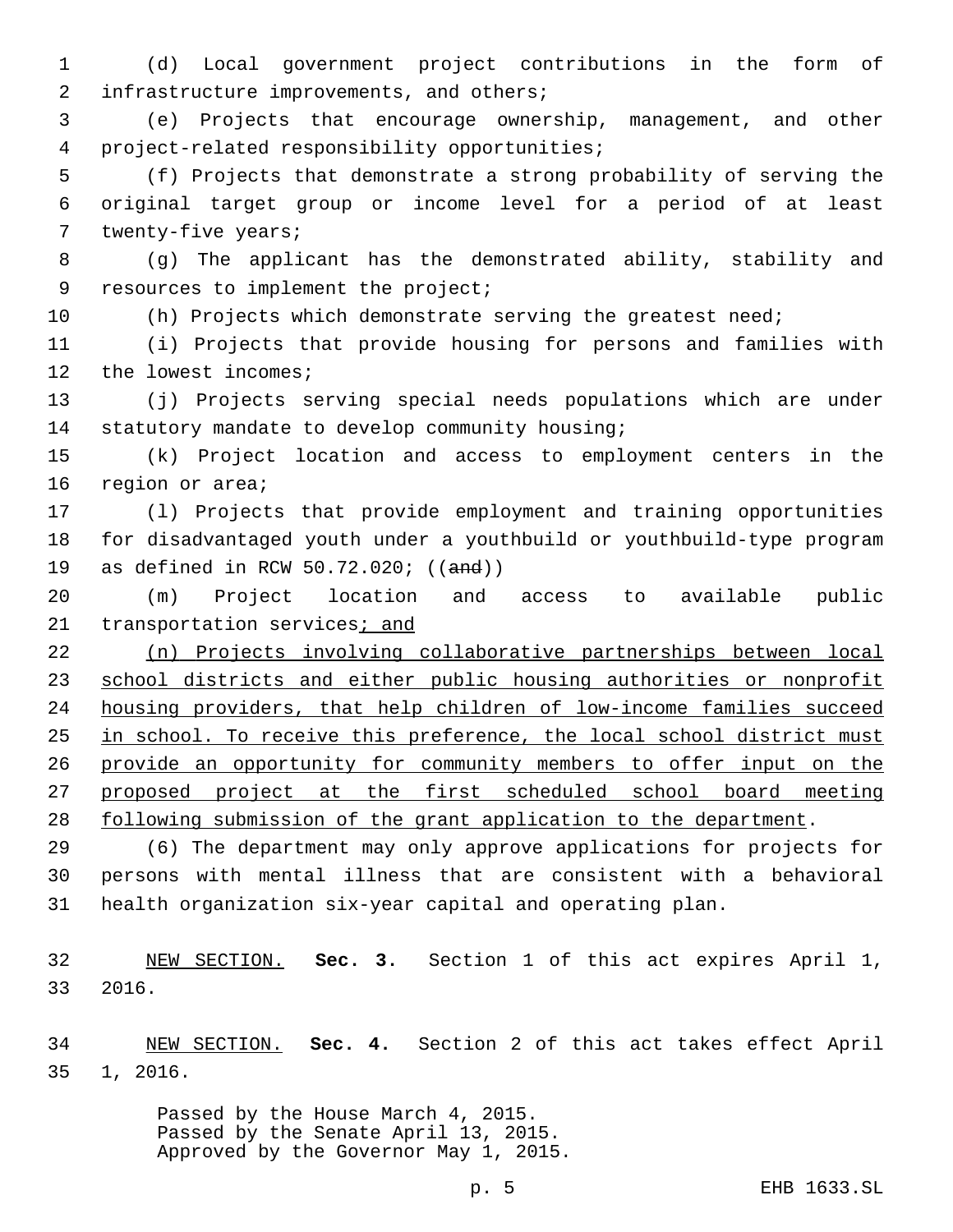(d) Local government project contributions in the form of 2 infrastructure improvements, and others;

 (e) Projects that encourage ownership, management, and other project-related responsibility opportunities;4

 (f) Projects that demonstrate a strong probability of serving the original target group or income level for a period of at least 7 twenty-five years;

 (g) The applicant has the demonstrated ability, stability and 9 resources to implement the project;

(h) Projects which demonstrate serving the greatest need;

 (i) Projects that provide housing for persons and families with 12 the lowest incomes;

 (j) Projects serving special needs populations which are under 14 statutory mandate to develop community housing;

 (k) Project location and access to employment centers in the 16 region or area;

 (l) Projects that provide employment and training opportunities for disadvantaged youth under a youthbuild or youthbuild-type program as defined in RCW 50.72.020; ((and))

 (m) Project location and access to available public 21 transportation services; and

 (n) Projects involving collaborative partnerships between local school districts and either public housing authorities or nonprofit housing providers, that help children of low-income families succeed 25 in school. To receive this preference, the local school district must provide an opportunity for community members to offer input on the proposed project at the first scheduled school board meeting 28 following submission of the grant application to the department.

 (6) The department may only approve applications for projects for persons with mental illness that are consistent with a behavioral health organization six-year capital and operating plan.

 NEW SECTION. **Sec. 3.** Section 1 of this act expires April 1, 2016.

 NEW SECTION. **Sec. 4.** Section 2 of this act takes effect April 1, 2016.

> Passed by the House March 4, 2015. Passed by the Senate April 13, 2015. Approved by the Governor May 1, 2015.